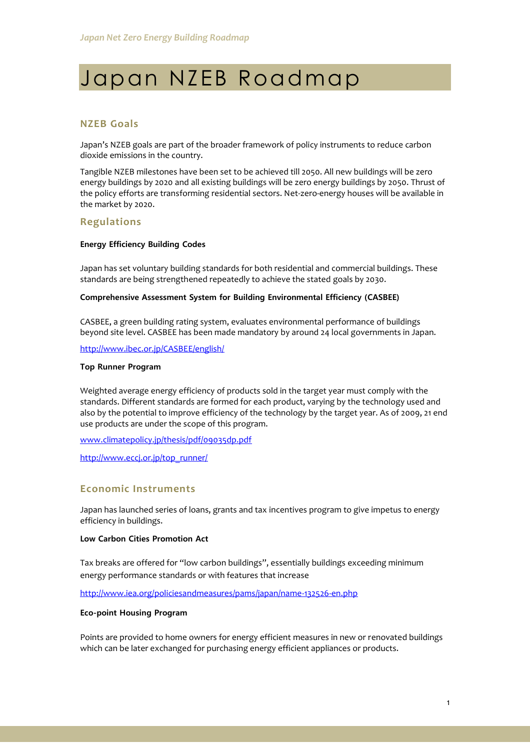# Japan NZEB Roadmap

### **NZEB Goals**

Japan's NZEB goals are part of the broader framework of policy instruments to reduce carbon dioxide emissions in the country.

Tangible NZEB milestones have been set to be achieved till 2050. All new buildings will be zero energy buildings by 2020 and all existing buildings will be zero energy buildings by 2050. Thrust of the policy efforts are transforming residential sectors. Net-zero-energy houses will be available in the market by 2020.

#### **Regulations**

#### **Energy Efficiency Building Codes**

Japan has set voluntary building standards for both residential and commercial buildings. These standards are being strengthened repeatedly to achieve the stated goals by 2030.

#### **Comprehensive Assessment System for Building Environmental Efficiency (CASBEE)**

CASBEE, a green building rating system, evaluates environmental performance of buildings beyond site level. CASBEE has been made mandatory by around 24 local governments in Japan.

<http://www.ibec.or.jp/CASBEE/english/>

#### **Top Runner Program**

Weighted average energy efficiency of products sold in the target year must comply with the standards. Different standards are formed for each product, varying by the technology used and also by the potential to improve efficiency of the technology by the target year. As of 2009, 21 end use products are under the scope of this program.

[www.climatepolicy.jp/thesis/pdf/09035dp.pdf](http://www.climatepolicy.jp/thesis/pdf/09035dp.pdf)

[http://www.eccj.or.jp/top\\_runner/](http://www.eccj.or.jp/top_runner/)

#### **Economic Instruments**

Japan has launched series of loans, grants and tax incentives program to give impetus to energy efficiency in buildings.

#### **Low Carbon Cities Promotion Act**

Tax breaks are offered for "low carbon buildings", essentially buildings exceeding minimum energy performance standards or with features that increase

<http://www.iea.org/policiesandmeasures/pams/japan/name-132526-en.php>

#### **Eco-point Housing Program**

Points are provided to home owners for energy efficient measures in new or renovated buildings which can be later exchanged for purchasing energy efficient appliances or products.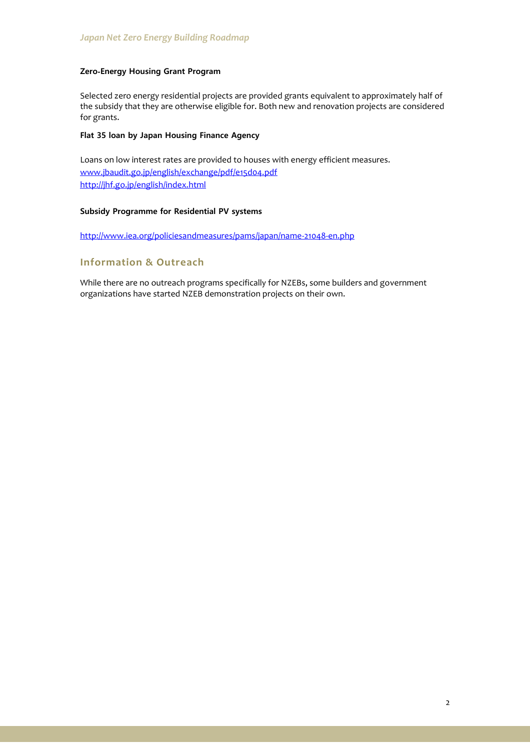#### **Zero**‐**Energy Housing Grant Program**

Selected zero energy residential projects are provided grants equivalent to approximately half of the subsidy that they are otherwise eligible for. Both new and renovation projects are considered for grants.

#### **Flat 35 loan by Japan Housing Finance Agency**

Loans on low interest rates are provided to houses with energy efficient measures. [www.jbaudit.go.jp/english/exchange/pdf/e15d04.pdf](http://www.jbaudit.go.jp/english/exchange/pdf/e15d04.pdf) <http://jhf.go.jp/english/index.html>

#### **Subsidy Programme for Residential PV systems**

<http://www.iea.org/policiesandmeasures/pams/japan/name-21048-en.php>

## **Information & Outreach**

While there are no outreach programs specifically for NZEBs, some builders and government organizations have started NZEB demonstration projects on their own.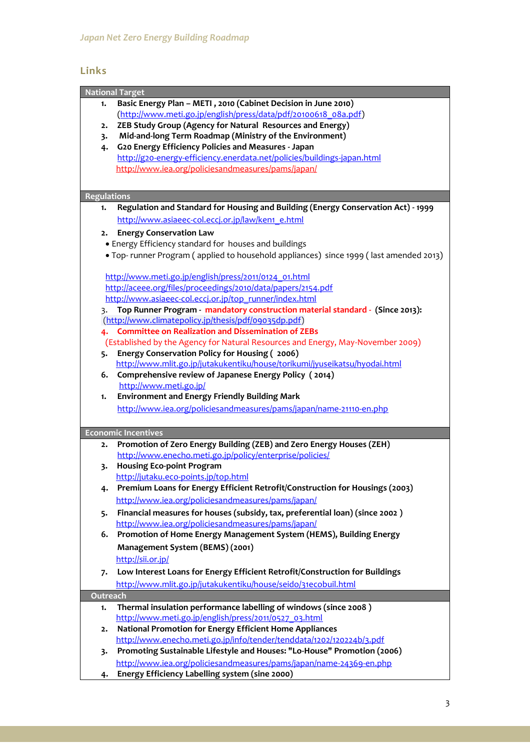# **Links**

|                    | <b>National Target</b>                                                                |
|--------------------|---------------------------------------------------------------------------------------|
|                    | Basic Energy Plan - METI, 2010 (Cabinet Decision in June 2010)                        |
| 1.                 |                                                                                       |
|                    | (http://www.meti.go.jp/english/press/data/pdf/20100618_08a.pdf)                       |
| 2.                 | ZEB Study Group (Agency for Natural Resources and Energy)                             |
| 3.                 | Mid-and-long Term Roadmap (Ministry of the Environment)                               |
| 4.                 | G20 Energy Efficiency Policies and Measures - Japan                                   |
|                    | http://g20-energy-efficiency.enerdata.net/policies/buildings-japan.html               |
|                    | http://www.iea.org/policiesandmeasures/pams/japan/                                    |
|                    |                                                                                       |
| <b>Regulations</b> |                                                                                       |
| 1.                 | Regulation and Standard for Housing and Building (Energy Conservation Act) - 1999     |
|                    | http://www.asiaeec-col.eccj.or.jp/law/ken1_e.html                                     |
| 2.                 | <b>Energy Conservation Law</b>                                                        |
|                    | • Energy Efficiency standard for houses and buildings                                 |
|                    |                                                                                       |
|                    | • Top-runner Program (applied to household appliances) since 1999 (last amended 2013) |
|                    |                                                                                       |
|                    | http://www.meti.go.jp/english/press/2011/0124_01.html                                 |
|                    | http://aceee.org/files/proceedings/2010/data/papers/2154.pdf                          |
|                    | http://www.asiaeec-col.eccj.or.jp/top runner/index.html                               |
| 3.                 | Top Runner Program - mandatory construction material standard - (Since 2013):         |
|                    | (http://www.climatepolicy.jp/thesis/pdf/09035dp.pdf)                                  |
| 4.                 | <b>Committee on Realization and Dissemination of ZEBs</b>                             |
|                    | (Established by the Agency for Natural Resources and Energy, May-November 2009)       |
| 5.                 | Energy Conservation Policy for Housing (2006)                                         |
|                    | http://www.mlit.go.jp/jutakukentiku/house/torikumi/jyuseikatsu/hyodai.html            |
| 6.                 | Comprehensive review of Japanese Energy Policy (2014)                                 |
|                    | http://www.meti.go.jp/                                                                |
| 1.                 | <b>Environment and Energy Friendly Building Mark</b>                                  |
|                    | http://www.iea.org/policiesandmeasures/pams/japan/name-21110-en.php                   |
|                    |                                                                                       |
|                    | <b>Economic Incentives</b>                                                            |
| 2.                 | Promotion of Zero Energy Building (ZEB) and Zero Energy Houses (ZEH)                  |
|                    | http://www.enecho.meti.go.jp/policy/enterprise/policies/                              |
| 3.                 | <b>Housing Eco-point Program</b>                                                      |
|                    | http://jutaku.eco-points.jp/top.html                                                  |
| 4.                 | Premium Loans for Energy Efficient Retrofit/Construction for Housings (2003)          |
|                    | http://www.iea.org/policiesandmeasures/pams/japan/                                    |
| 5.                 | Financial measures for houses (subsidy, tax, preferential loan) (since 2002)          |
|                    | http://www.iea.org/policiesandmeasures/pams/japan/                                    |
| 6.                 | Promotion of Home Energy Management System (HEMS), Building Energy                    |
|                    | Management System (BEMS) (2001)                                                       |
|                    |                                                                                       |
|                    | http://sii.or.jp/                                                                     |
| 7.                 | Low Interest Loans for Energy Efficient Retrofit/Construction for Buildings           |
|                    | http://www.mlit.go.jp/jutakukentiku/house/seido/31ecobuil.html                        |
| Outreach           |                                                                                       |
| 1.                 | Thermal insulation performance labelling of windows (since 2008)                      |
|                    | http://www.meti.go.jp/english/press/2011/0527_03.html                                 |
| 2.                 | National Promotion for Energy Efficient Home Appliances                               |
|                    | http://www.enecho.meti.go.jp/info/tender/tenddata/1202/120224b/3.pdf                  |
| 3.                 | Promoting Sustainable Lifestyle and Houses: "Lo-House" Promotion (2006)               |
|                    | http://www.iea.org/policiesandmeasures/pams/japan/name-24369-en.php                   |
| 4.                 | Energy Efficiency Labelling system (sine 2000)                                        |